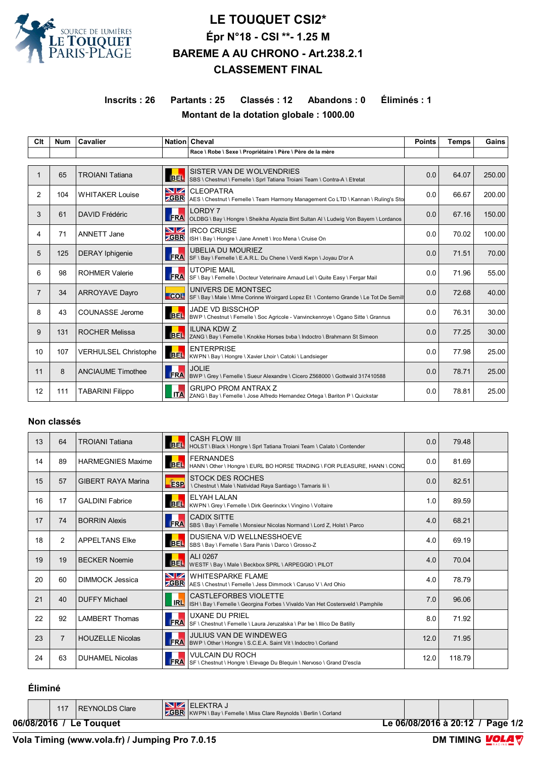

# **LE TOUQUET CSI2\* Épr N°18 - CSI \*\*- 1.25 M BAREME A AU CHRONO - Art.238.2.1 CLASSEMENT FINAL**

## **Inscrits : 26 Partants : 25 Classés : 12 Abandons : 0 Éliminés : 1 Montant de la dotation globale : 1000.00**

| Clt            | <b>Num</b> | Cavalier                 |                  | Nation Cheval                                                                                               | <b>Points</b> | <b>Temps</b> | Gains  |
|----------------|------------|--------------------------|------------------|-------------------------------------------------------------------------------------------------------------|---------------|--------------|--------|
|                |            |                          |                  | Race \ Robe \ Sexe \ Propriétaire \ Père \ Père de la mère                                                  |               |              |        |
| $\mathbf 1$    | 65         | <b>TROIANI Tatiana</b>   | <b>BEL</b>       | SISTER VAN DE WOLVENDRIES<br>SBS \ Chestnut \ Femelle \ Sprl Tatiana Troiani Team \ Contra-A \ Etretat      | 0.0           | 64.07        | 250.00 |
| 2              | 104        | <b>WHITAKER Louise</b>   | VZ<br>$z$ GBR    | <b>CLEOPATRA</b><br>AES \ Chestnut \ Femelle \ Team Harmony Management Co LTD \ Kannan \ Ruling's Sto       | 0.0           | 66.67        | 200.00 |
| 3              | 61         | DAVID Frédéric           | <b>FRA</b>       | <b>LORDY7</b><br>OLDBG \ Bay \ Hongre \ Sheikha Alyazia Bint Sultan Al \ Ludwig Von Bayern \ Lordanos       | 0.0           | 67.16        | 150.00 |
| 4              | 71         | ANNETT Jane              | VZ<br><b>GBR</b> | <b>IRCO CRUISE</b><br>ISH \ Bay \ Hongre \ Jane Annett \ Irco Mena \ Cruise On                              | 0.0           | 70.02        | 100.00 |
| 5              | 125        | <b>DERAY</b> Iphigenie   | <b>FRA</b>       | <b>UBELIA DU MOURIEZ</b><br>SF \ Bay \ Femelle \ E.A.R.L. Du Chene \ Verdi Kwpn \ Joyau D'or A              | 0.0           | 71.51        | 70.00  |
| 6              | 98         | <b>ROHMER Valerie</b>    | <b>FRA</b>       | <b>UTOPIE MAIL</b><br>SF \ Bay \ Femelle \ Docteur Veterinaire Arnaud Lel \ Quite Easy \ Fergar Mail        | 0.0           | 71.96        | 55.00  |
| $\overline{7}$ | 34         | <b>ARROYAVE Dayro</b>    | COL              | UNIVERS DE MONTSEC<br>SF \ Bay \ Male \ Mme Corinne Woirgard Lopez Et \ Conterno Grande \ Le Tot De Semill  | 0.0           | 72.68        | 40.00  |
| 8              | 43         | <b>COUNASSE Jerome</b>   | <b>BEL</b>       | <b>JADE VD BISSCHOP</b><br>BWP \ Chestnut \ Femelle \ Soc Agricole - Vanvinckenroye \ Ogano Sitte \ Grannus | 0.0           | 76.31        | 30.00  |
| 9              | 131        | <b>ROCHER Melissa</b>    | <b>BEL</b>       | <b>ILUNA KDW Z</b><br>ZANG \ Bay \ Femelle \ Knokke Horses byba \ Indoctro \ Brahmann St Simeon             | 0.0           | 77.25        | 30.00  |
| 10             | 107        | VERHULSEL Christophe     | <b>BEL</b>       | <b>ENTERPRISE</b><br>KWPN \ Bay \ Hongre \ Xavier Lhoir \ Catoki \ Landsieger                               | 0.0           | 77.98        | 25.00  |
| 11             | 8          | <b>ANCIAUME Timothee</b> | <b>FRA</b>       | <b>JOLIE</b><br>BWP \ Grey \ Femelle \ Sueur Alexandre \ Cicero Z568000 \ Gottwald 317410588                | 0.0           | 78.71        | 25.00  |
| 12             | 111        | <b>TABARINI Filippo</b>  | <b>ITA</b>       | <b>GRUPO PROM ANTRAX Z</b><br>ZANG \ Bay \ Femelle \ Jose Alfredo Hernandez Ortega \ Bariton P \ Quickstar  | 0.0           | 78.81        | 25.00  |

### **Non classés**

| 13 | 64             | <b>TROIANI Tatiana</b>    |            | <b>CASH FLOW III</b><br>BEL  HOLST \ Black \ Hongre \ Sprl Tatiana Troiani Team \ Calato \ Contender    | 0.0  | 79.48  |  |
|----|----------------|---------------------------|------------|---------------------------------------------------------------------------------------------------------|------|--------|--|
| 14 | 89             | <b>HARMEGNIES Maxime</b>  |            | <b>FERNANDES</b><br>BEL HANN \ Other \ Hongre \ EURL BO HORSE TRADING \ FOR PLEASURE, HANN \ CONC       | 0.0  | 81.69  |  |
| 15 | 57             | <b>GIBERT RAYA Marina</b> | <b>ESP</b> | <b>STOCK DES ROCHES</b><br>\ Chestnut \ Male \ Natividad Raya Santiago \ Tamaris lii \                  | 0.0  | 82.51  |  |
| 16 | 17             | <b>GALDINI Fabrice</b>    |            | ELYAH LALAN<br>BEL   KWPN \ Grey \ Femelle \ Dirk Geerinckx \ Vingino \ Voltaire                        | 1.0  | 89.59  |  |
| 17 | 74             | <b>BORRIN Alexis</b>      | <b>FRA</b> | <b>CADIX SITTE</b><br>SBS \ Bay \ Femelle \ Monsieur Nicolas Normand \ Lord Z, Holst \ Parco            | 4.0  | 68.21  |  |
| 18 | $\overline{2}$ | <b>APPELTANS Elke</b>     |            | DUSIENA V/D WELLNESSHOEVE<br>BEL SBS \ Bay \ Femelle \ Sara Panis \ Darco \ Grosso-Z                    | 4.0  | 69.19  |  |
| 19 | 19             | <b>BECKER Noemie</b>      | <b>BEL</b> | ALI 0267<br>WESTF \ Bay \ Male \ Beckbox SPRL \ ARPEGGIO \ PILOT                                        | 4.0  | 70.04  |  |
| 20 | 60             | DIMMOCK Jessica           |            | <b>NZ WHITESPARKE FLAME</b><br><b>GBR</b> AES \ Chestnut \ Femelle \ Jess Dimmock \ Caruso V \ Ard Ohio | 4.0  | 78.79  |  |
| 21 | 40             | <b>DUFFY Michael</b>      | <b>IRL</b> | CASTLEFORBES VIOLETTE<br>ISH \ Bay \ Femelle \ Georgina Forbes \ Vivaldo Van Het Costersveld \ Pamphile | 7.0  | 96.06  |  |
| 22 | 92             | <b>LAMBERT Thomas</b>     | <b>FRA</b> | <b>UXANE DU PRIEL</b><br>SF \ Chestnut \ Femelle \ Laura Jeruzalska \ Par Ixe \ Illico De Batilly       | 8.0  | 71.92  |  |
| 23 | $\overline{7}$ | <b>HOUZELLE Nicolas</b>   | FRA        | <b>JULIUS VAN DE WINDEWEG</b><br>BWP \ Other \ Hongre \ S.C.E.A. Saint Vit \ Indoctro \ Corland         | 12.0 | 71.95  |  |
| 24 | 63             | <b>DUHAMEL Nicolas</b>    | <b>FRA</b> | <b>VULCAIN DU ROCH</b><br>SF \ Chestnut \ Hongre \ Elevage Du Bleguin \ Nervoso \ Grand D'escla         | 12.0 | 118.79 |  |

## **Éliminé**

|            | 117 | REYNOLDS Clare | <b>GBR</b> | <b>IELEKTRAJ</b><br>KWPN \ Bay \ Femelle \ Miss Clare Reynolds \ Berlin \ Corland |            |  |  |
|------------|-----|----------------|------------|-----------------------------------------------------------------------------------|------------|--|--|
| 06/08/2016 |     | Γouαuet<br>∟e⊹ |            | Le 06/08/2016 à 20:12                                                             | Page $1/2$ |  |  |

**DM TIMING VOL**